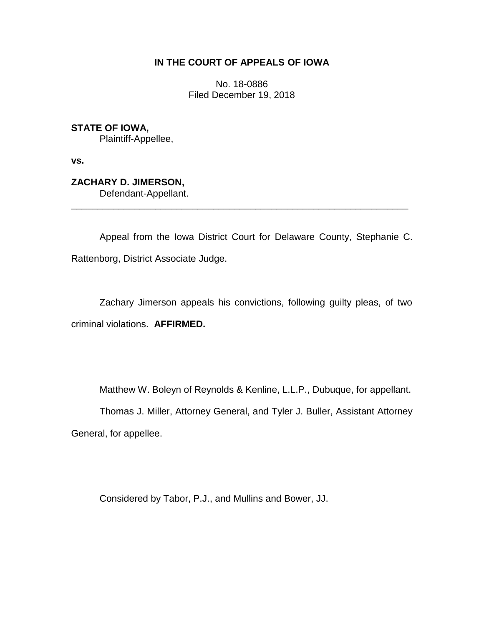## **IN THE COURT OF APPEALS OF IOWA**

No. 18-0886 Filed December 19, 2018

**STATE OF IOWA,** Plaintiff-Appellee,

**vs.**

**ZACHARY D. JIMERSON,** Defendant-Appellant.

Appeal from the Iowa District Court for Delaware County, Stephanie C. Rattenborg, District Associate Judge.

\_\_\_\_\_\_\_\_\_\_\_\_\_\_\_\_\_\_\_\_\_\_\_\_\_\_\_\_\_\_\_\_\_\_\_\_\_\_\_\_\_\_\_\_\_\_\_\_\_\_\_\_\_\_\_\_\_\_\_\_\_\_\_\_

Zachary Jimerson appeals his convictions, following guilty pleas, of two criminal violations. **AFFIRMED.** 

Matthew W. Boleyn of Reynolds & Kenline, L.L.P., Dubuque, for appellant.

Thomas J. Miller, Attorney General, and Tyler J. Buller, Assistant Attorney General, for appellee.

Considered by Tabor, P.J., and Mullins and Bower, JJ.